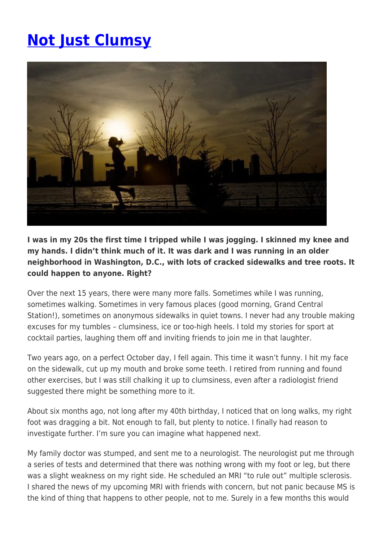## **[Not Just Clumsy](https://momentummagazineonline.com/blog/not-just-clumsy/)**



**I was in my 20s the first time I tripped while I was jogging. I skinned my knee and my hands. I didn't think much of it. It was dark and I was running in an older neighborhood in Washington, D.C., with lots of cracked sidewalks and tree roots. It could happen to anyone. Right?**

Over the next 15 years, there were many more falls. Sometimes while I was running, sometimes walking. Sometimes in very famous places (good morning, Grand Central Station!), sometimes on anonymous sidewalks in quiet towns. I never had any trouble making excuses for my tumbles – clumsiness, ice or too-high heels. I told my stories for sport at cocktail parties, laughing them off and inviting friends to join me in that laughter.

Two years ago, on a perfect October day, I fell again. This time it wasn't funny. I hit my face on the sidewalk, cut up my mouth and broke some teeth. I retired from running and found other exercises, but I was still chalking it up to clumsiness, even after a radiologist friend suggested there might be something more to it.

About six months ago, not long after my 40th birthday, I noticed that on long walks, my right foot was dragging a bit. Not enough to fall, but plenty to notice. I finally had reason to investigate further. I'm sure you can imagine what happened next.

My family doctor was stumped, and sent me to a neurologist. The neurologist put me through a series of tests and determined that there was nothing wrong with my foot or leg, but there was a slight weakness on my right side. He scheduled an MRI "to rule out" multiple sclerosis. I shared the news of my upcoming MRI with friends with concern, but not panic because MS is the kind of thing that happens to other people, not to me. Surely in a few months this would